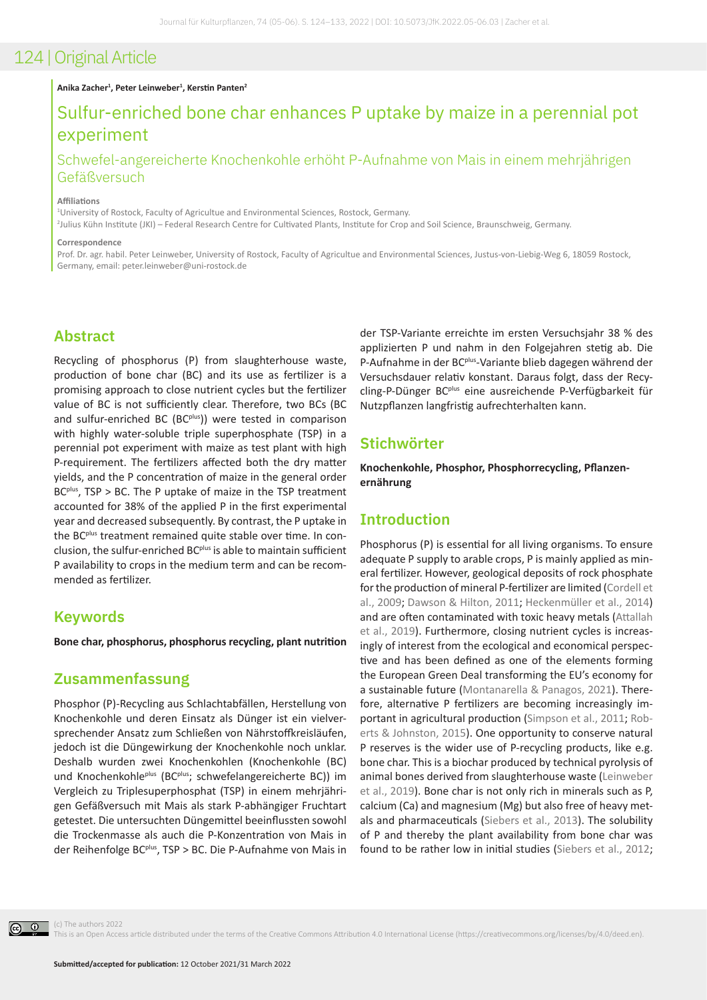#### **Anika Zacher1 , Peter Leinweber1 , Kerstin Panten<sup>2</sup>**

# Sulfur-enriched bone char enhances P uptake by maize in a perennial pot experiment

## Schwefel-angereicherte Knochenkohle erhöht P-Aufnahme von Mais in einem mehrjährigen Gefäßversuch

#### **Affiliations**

1 University of Rostock, Faculty of Agricultue and Environmental Sciences, Rostock, Germany.

2 Julius Kühn Institute (JKI) – Federal Research Centre for Cultivated Plants, Institute for Crop and Soil Science, Braunschweig, Germany.

#### **Correspondence**

Prof. Dr. agr. habil. Peter Leinweber, University of Rostock, Faculty of Agricultue and Environmental Sciences, Justus-von-Liebig-Weg 6, 18059 Rostock, Germany, email: peter.leinweber@uni-rostock.de

## **Abstract**

Recycling of phosphorus (P) from slaughterhouse waste, production of bone char (BC) and its use as fertilizer is a promising approach to close nutrient cycles but the fertilizer value of BC is not sufficiently clear. Therefore, two BCs (BC and sulfur-enriched BC (BC $p$ lus)) were tested in comparison with highly water-soluble triple superphosphate (TSP) in a perennial pot experiment with maize as test plant with high P-requirement. The fertilizers affected both the dry matter yields, and the P concentration of maize in the general order BC<sup>plus</sup>, TSP > BC. The P uptake of maize in the TSP treatment accounted for 38% of the applied P in the first experimental year and decreased subsequently. By contrast, the P uptake in the BCplus treatment remained quite stable over time. In conclusion, the sulfur-enriched BC<sup>plus</sup> is able to maintain sufficient P availability to crops in the medium term and can be recommended as fertilizer.

#### **Keywords**

**Bone char, phosphorus, phosphorus recycling, plant nutrition**

## **Zusammenfassung**

Phosphor (P)-Recycling aus Schlachtabfällen, Herstellung von Knochenkohle und deren Einsatz als Dünger ist ein vielversprechender Ansatz zum Schließen von Nährstoffkreisläufen, jedoch ist die Düngewirkung der Knochenkohle noch unklar. Deshalb wurden zwei Knochenkohlen (Knochenkohle (BC) und Knochenkohle<sup>plus</sup> (BC<sup>plus</sup>; schwefelangereicherte BC)) im Vergleich zu Triplesuperphosphat (TSP) in einem mehrjährigen Gefäßversuch mit Mais als stark P-abhängiger Fruchtart getestet. Die untersuchten Düngemittel beeinflussten sowohl die Trockenmasse als auch die P-Konzentration von Mais in der Reihenfolge BC<sup>plus</sup>, TSP > BC. Die P-Aufnahme von Mais in

der TSP-Variante erreichte im ersten Versuchsjahr 38 % des applizierten P und nahm in den Folgejahren stetig ab. Die P-Aufnahme in der BC<sup>plus</sup>-Variante blieb dagegen während der Versuchsdauer relativ konstant. Daraus folgt, dass der Recycling-P-Dünger BCplus eine ausreichende P-Verfügbarkeit für Nutzpflanzen langfristig aufrechterhalten kann.

## **Stichwörter**

**Knochenkohle, Phosphor, Phosphorrecycling, Pflanzenernährung**

### **Introduction**

Phosphorus (P) is essential for all living organisms. To ensure adequate P supply to arable crops, P is mainly applied as mineral fertilizer. However, geological deposits of rock phosphate for the production of mineral P-fertilizer are limited [\(Cordell et](#page-5-0)  [al., 2009](#page-5-0); [Dawson & Hilton, 2011](#page-5-1); [Heckenmüller et al., 2014\)](#page-5-2) and are often contaminated with toxic heavy metals ([Attallah](#page-5-3)  [et al., 2019\)](#page-5-3). Furthermore, closing nutrient cycles is increasingly of interest from the ecological and economical perspective and has been defined as one of the elements forming the European Green Deal transforming the EU's economy for a sustainable future ([Montanarella & Panagos, 2021](#page-5-4)). Therefore, alternative P fertilizers are becoming increasingly important in agricultural production [\(Simpson et al., 2011](#page-6-0); [Rob](#page-5-5)[erts & Johnston, 2015\)](#page-5-5). One opportunity to conserve natural P reserves is the wider use of P-recycling products, like e.g. bone char. This is a biochar produced by technical pyrolysis of animal bones derived from slaughterhouse waste ([Leinweber](#page-5-6)  [et al., 2019](#page-5-6)). Bone char is not only rich in minerals such as P, calcium (Ca) and magnesium (Mg) but also free of heavy metals and pharmaceuticals [\(Siebers et al., 2013\)](#page-5-7). The solubility of P and thereby the plant availability from bone char was found to be rather low in initial studies [\(Siebers et al., 2012](#page-5-8);



(c) The authors 2022

This is an Open Access article distributed under the terms of the Creative Commons Attribution 4.0 International License (https://creativecommons.org/licenses/by/4.0/deed.en).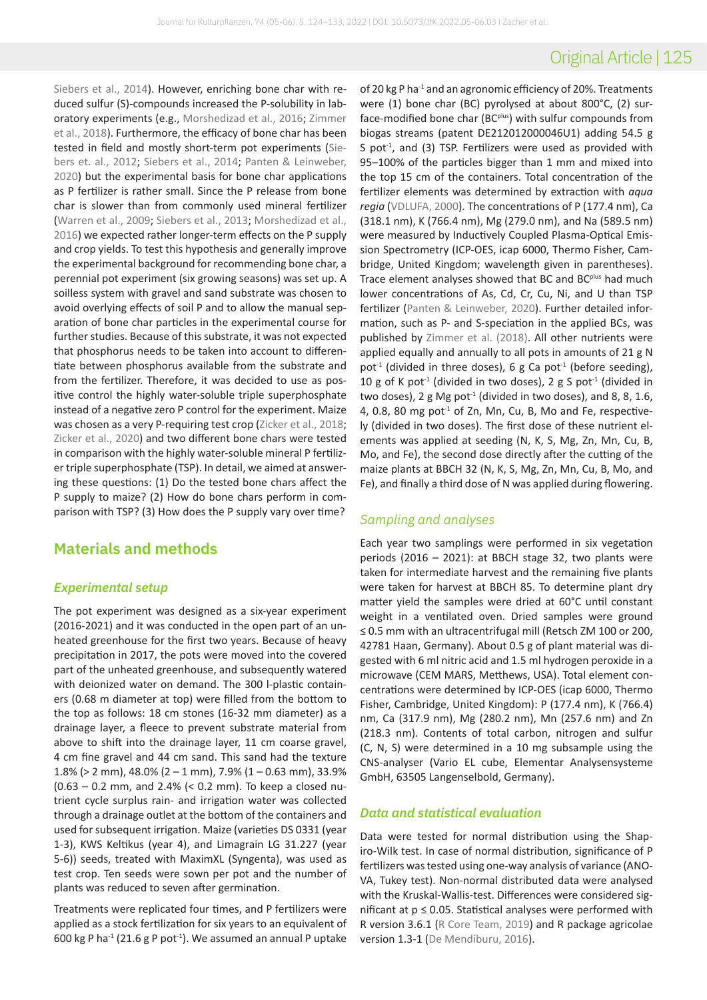# Original Article | 125

[Siebers et al., 2014](#page-5-9)). However, enriching bone char with reduced sulfur (S)-compounds increased the P-solubility in laboratory experiments (e.g., [Morshedizad et al., 2016](#page-5-10); [Zimmer](#page-6-1)  [et al., 2018](#page-6-1)). Furthermore, the efficacy of bone char has been tested in field and mostly short-term pot experiments ([Sie](#page-5-8)[bers et. al., 2012](#page-5-8); [Siebers et al., 2014](#page-5-9); [Panten & Leinweber,](#page-5-11)  [2020\)](#page-5-11) but the experimental basis for bone char applications as P fertilizer is rather small. Since the P release from bone char is slower than from commonly used mineral fertilizer [\(Warren et al., 2009](#page-6-2); [Siebers et al., 2013](#page-5-7); [Morshedizad et al.,](#page-5-10)  [2016\)](#page-5-10) we expected rather longer-term effects on the P supply and crop yields. To test this hypothesis and generally improve the experimental background for recommending bone char, a perennial pot experiment (six growing seasons) was set up. A soilless system with gravel and sand substrate was chosen to avoid overlying effects of soil P and to allow the manual separation of bone char particles in the experimental course for further studies. Because of this substrate, it was not expected that phosphorus needs to be taken into account to differentiate between phosphorus available from the substrate and from the fertilizer. Therefore, it was decided to use as positive control the highly water-soluble triple superphosphate instead of a negative zero P control for the experiment. Maize was chosen as a very P-requiring test crop ([Zicker et al., 2018](#page-6-3); [Zicker et al., 2020](#page-6-4)) and two different bone chars were tested in comparison with the highly water-soluble mineral P fertilizer triple superphosphate (TSP). In detail, we aimed at answering these questions: (1) Do the tested bone chars affect the P supply to maize? (2) How do bone chars perform in comparison with TSP? (3) How does the P supply vary over time?

## **Materials and methods**

#### *Experimental setup*

The pot experiment was designed as a six-year experiment (2016-2021) and it was conducted in the open part of an unheated greenhouse for the first two years. Because of heavy precipitation in 2017, the pots were moved into the covered part of the unheated greenhouse, and subsequently watered with deionized water on demand. The 300 l-plastic containers (0.68 m diameter at top) were filled from the bottom to the top as follows: 18 cm stones (16-32 mm diameter) as a drainage layer, a fleece to prevent substrate material from above to shift into the drainage layer, 11 cm coarse gravel, 4 cm fine gravel and 44 cm sand. This sand had the texture 1.8% ( $>$  2 mm), 48.0% (2 – 1 mm), 7.9% (1 – 0.63 mm), 33.9% (0.63 – 0.2 mm, and 2.4% (< 0.2 mm). To keep a closed nutrient cycle surplus rain- and irrigation water was collected through a drainage outlet at the bottom of the containers and used for subsequent irrigation. Maize (varieties DS 0331 (year 1-3), KWS Keltikus (year 4), and Limagrain LG 31.227 (year 5-6)) seeds, treated with MaximXL (Syngenta), was used as test crop. Ten seeds were sown per pot and the number of plants was reduced to seven after germination.

Treatments were replicated four times, and P fertilizers were applied as a stock fertilization for six years to an equivalent of 600 kg P ha<sup>-1</sup> (21.6 g P pot<sup>-1</sup>). We assumed an annual P uptake

of 20 kg P ha<sup>-1</sup> and an agronomic efficiency of 20%. Treatments were (1) bone char (BC) pyrolysed at about 800°C, (2) surface-modified bone char (BC<sup>plus</sup>) with sulfur compounds from biogas streams (patent DE212012000046U1) adding 54.5 g S pot<sup>-1</sup>, and (3) TSP. Fertilizers were used as provided with 95–100% of the particles bigger than 1 mm and mixed into the top 15 cm of the containers. Total concentration of the fertilizer elements was determined by extraction with *aqua regia* [\(VDLUFA, 2000](#page-6-5)). The concentrations of P (177.4 nm), Ca (318.1 nm), K (766.4 nm), Mg (279.0 nm), and Na (589.5 nm) were measured by Inductively Coupled Plasma-Optical Emission Spectrometry (ICP-OES, icap 6000, Thermo Fisher, Cambridge, United Kingdom; wavelength given in parentheses). Trace element analyses showed that BC and BC<sup>plus</sup> had much lower concentrations of As, Cd, Cr, Cu, Ni, and U than TSP fertilizer ([Panten & Leinweber, 2020\)](#page-5-11). Further detailed information, such as P- and S-speciation in the applied BCs, was published by [Zimmer et al. \(2018\)](#page-6-1). All other nutrients were applied equally and annually to all pots in amounts of 21 g N pot<sup>-1</sup> (divided in three doses), 6 g Ca pot<sup>-1</sup> (before seeding), 10 g of K pot<sup>-1</sup> (divided in two doses), 2 g S pot<sup>-1</sup> (divided in two doses), 2 g Mg pot<sup> $1$ </sup> (divided in two doses), and 8, 8, 1.6, 4, 0.8, 80 mg pot $^{-1}$  of Zn, Mn, Cu, B, Mo and Fe, respectively (divided in two doses). The first dose of these nutrient elements was applied at seeding (N, K, S, Mg, Zn, Mn, Cu, B, Mo, and Fe), the second dose directly after the cutting of the maize plants at BBCH 32 (N, K, S, Mg, Zn, Mn, Cu, B, Mo, and Fe), and finally a third dose of N was applied during flowering.

### *Sampling and analyses*

Each year two samplings were performed in six vegetation periods (2016 – 2021): at BBCH stage 32, two plants were taken for intermediate harvest and the remaining five plants were taken for harvest at BBCH 85. To determine plant dry matter yield the samples were dried at 60°C until constant weight in a ventilated oven. Dried samples were ground ≤ 0.5 mm with an ultracentrifugal mill (Retsch ZM 100 or 200, 42781 Haan, Germany). About 0.5 g of plant material was digested with 6 ml nitric acid and 1.5 ml hydrogen peroxide in a microwave (CEM MARS, Metthews, USA). Total element concentrations were determined by ICP-OES (icap 6000, Thermo Fisher, Cambridge, United Kingdom): P (177.4 nm), K (766.4) nm, Ca (317.9 nm), Mg (280.2 nm), Mn (257.6 nm) and Zn (218.3 nm). Contents of total carbon, nitrogen and sulfur (C, N, S) were determined in a 10 mg subsample using the CNS-analyser (Vario EL cube, Elementar Analysensysteme GmbH, 63505 Langenselbold, Germany).

### *Data and statistical evaluation*

Data were tested for normal distribution using the Shapiro-Wilk test. In case of normal distribution, significance of P fertilizers was tested using one-way analysis of variance (ANO-VA, Tukey test). Non-normal distributed data were analysed with the Kruskal-Wallis-test. Differences were considered significant at  $p \le 0.05$ . Statistical analyses were performed with R version 3.6.1 [\(R Core Team, 2019\)](#page-5-12) and R package agricolae version 1.3-1 [\(De Mendiburu, 2016](#page-5-13)).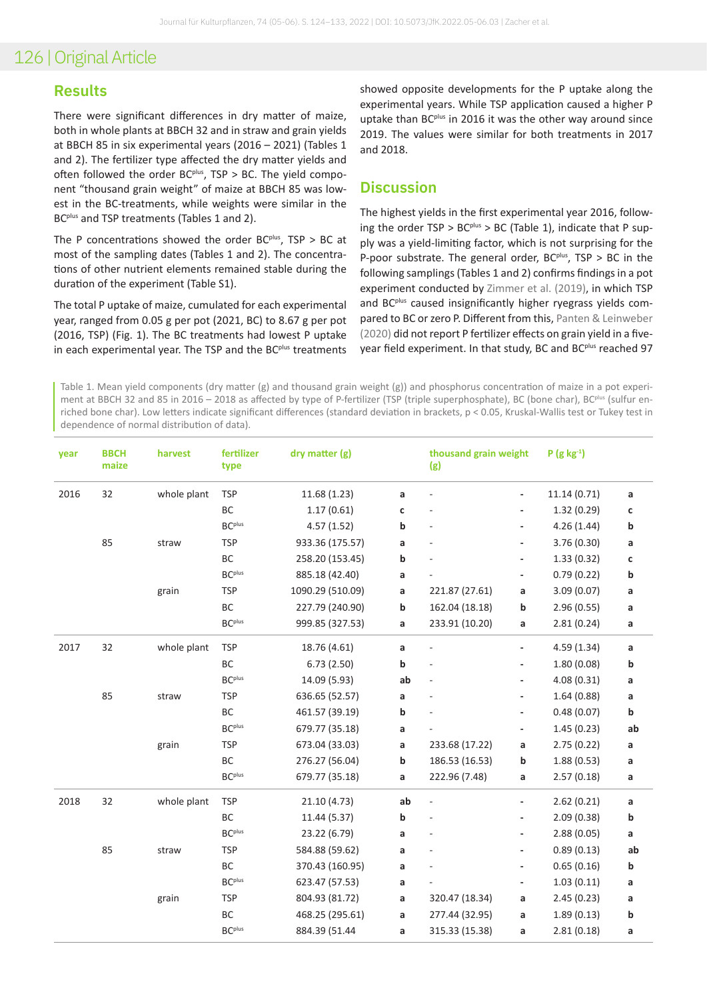### **Results**

There were significant differences in dry matter of maize, both in whole plants at BBCH 32 and in straw and grain yields at BBCH 85 in six experimental years (2016 – 2021) (Tables 1 and 2). The fertilizer type affected the dry matter yields and often followed the order  $BC<sup>plus</sup>$ , TSP > BC. The yield component "thousand grain weight" of maize at BBCH 85 was lowest in the BC-treatments, while weights were similar in the BC<sup>plus</sup> and TSP treatments (Tables 1 and 2).

The P concentrations showed the order  $BC$ <sup>plus</sup>,  $TSP > BC$  at most of the sampling dates (Tables 1 and 2). The concentrations of other nutrient elements remained stable during the duration of the experiment (Table S1).

The total P uptake of maize, cumulated for each experimental year, ranged from 0.05 g per pot (2021, BC) to 8.67 g per pot (2016, TSP) (Fig. 1). The BC treatments had lowest P uptake in each experimental year. The TSP and the BC<sup>plus</sup> treatments

showed opposite developments for the P uptake along the experimental years. While TSP application caused a higher P uptake than BC<sup>plus</sup> in 2016 it was the other way around since 2019. The values were similar for both treatments in 2017 and 2018.

### **Discussion**

The highest yields in the first experimental year 2016, following the order  $TSP > BC^{plus} > BC$  (Table 1), indicate that P supply was a yield-limiting factor, which is not surprising for the P-poor substrate. The general order,  $BC<sup>plus</sup>$ ,  $TSP > BC$  in the following samplings (Tables 1 and 2) confirms findings in a pot experiment conducted by [Zimmer et al. \(2019\)](#page-6-6), in which TSP and BC<sup>plus</sup> caused insignificantly higher ryegrass yields compared to BC or zero P. Different from this, [Panten & Leinweber](#page-5-11)  [\(2020\)](#page-5-11) did not report P fertilizer effects on grain yield in a fiveyear field experiment. In that study, BC and BC<sup>plus</sup> reached 97

Table 1. Mean yield components (dry matter (g) and thousand grain weight (g)) and phosphorus concentration of maize in a pot experiment at BBCH 32 and 85 in 2016 – 2018 as affected by type of P-fertilizer (TSP (triple superphosphate), BC (bone char), BC<sup>plus</sup> (sulfur enriched bone char). Low letters indicate significant differences (standard deviation in brackets, p < 0.05, Kruskal-Wallis test or Tukey test in dependence of normal distribution of data).

| year | <b>BBCH</b><br>maize | harvest     | fertilizer<br>type | dry matter (g)   |             | thousand grain weight<br>(g) |                          | $P(g kg-1)$  |    |
|------|----------------------|-------------|--------------------|------------------|-------------|------------------------------|--------------------------|--------------|----|
| 2016 | 32                   | whole plant | <b>TSP</b>         | 11.68(1.23)      | a           | $\frac{1}{2}$                | $\frac{1}{2}$            | 11.14 (0.71) | a  |
|      |                      |             | ВC                 | 1.17(0.61)       | C           | ÷,                           | $\overline{\phantom{0}}$ | 1.32(0.29)   | C  |
|      |                      |             | <b>BC</b> plus     | 4.57(1.52)       | $\mathbf b$ | ÷,                           | $\overline{\phantom{a}}$ | 4.26(1.44)   | b  |
|      | 85                   | straw       | <b>TSP</b>         | 933.36 (175.57)  | a           |                              | $\overline{\phantom{a}}$ | 3.76 (0.30)  | a  |
|      |                      |             | <b>BC</b>          | 258.20 (153.45)  | b           |                              | $\overline{\phantom{0}}$ | 1.33(0.32)   | C  |
|      |                      |             | <b>BC</b> plus     | 885.18 (42.40)   | a           |                              | $\overline{\phantom{0}}$ | 0.79(0.22)   | b  |
|      |                      | grain       | <b>TSP</b>         | 1090.29 (510.09) | a           | 221.87 (27.61)               | a                        | 3.09(0.07)   | a  |
|      |                      |             | BC                 | 227.79 (240.90)  | b           | 162.04 (18.18)               | b                        | 2.96(0.55)   | a  |
|      |                      |             | <b>BC</b> plus     | 999.85 (327.53)  | a           | 233.91 (10.20)               | a                        | 2.81(0.24)   | a  |
| 2017 | 32                   | whole plant | <b>TSP</b>         | 18.76 (4.61)     | a           | $\frac{1}{2}$                | $\overline{\phantom{a}}$ | 4.59(1.34)   | a  |
|      |                      |             | BC                 | 6.73(2.50)       | b           | L,                           | $\overline{\phantom{0}}$ | 1.80(0.08)   | b  |
|      |                      |             | <b>BC</b> plus     | 14.09 (5.93)     | ab          | ÷,                           | $\overline{\phantom{a}}$ | 4.08(0.31)   | a  |
|      | 85                   | straw       | <b>TSP</b>         | 636.65 (52.57)   | a           |                              | $\overline{\phantom{a}}$ | 1.64(0.88)   | a  |
|      |                      |             | BC                 | 461.57 (39.19)   | b           |                              | $\overline{\phantom{a}}$ | 0.48(0.07)   | b  |
|      |                      |             | <b>BC</b> plus     | 679.77 (35.18)   | a           |                              | $\overline{\phantom{a}}$ | 1.45(0.23)   | ab |
|      |                      | grain       | <b>TSP</b>         | 673.04 (33.03)   | a           | 233.68 (17.22)               | a                        | 2.75(0.22)   | a  |
|      |                      |             | <b>BC</b>          | 276.27 (56.04)   | b           | 186.53 (16.53)               | b                        | 1.88(0.53)   | a  |
|      |                      |             | BC <sup>plus</sup> | 679.77 (35.18)   | a           | 222.96 (7.48)                | a                        | 2.57(0.18)   | a  |
| 2018 | 32                   | whole plant | <b>TSP</b>         | 21.10 (4.73)     | ab          | $\frac{1}{2}$                | $\overline{\phantom{a}}$ | 2.62(0.21)   | a  |
|      |                      |             | ВC                 | 11.44 (5.37)     | b           | L,                           | -                        | 2.09(0.38)   | b  |
|      |                      |             | <b>BC</b> plus     | 23.22 (6.79)     | a           |                              | ۰                        | 2.88(0.05)   | a  |
|      | 85                   | straw       | <b>TSP</b>         | 584.88 (59.62)   | a           |                              | $\overline{\phantom{a}}$ | 0.89(0.13)   | ab |
|      |                      |             | <b>BC</b>          | 370.43 (160.95)  | a           |                              | $\overline{\phantom{0}}$ | 0.65(0.16)   | b  |
|      |                      |             | <b>BC</b> plus     | 623.47 (57.53)   | a           |                              | ٠                        | 1.03(0.11)   | a  |
|      |                      | grain       | <b>TSP</b>         | 804.93 (81.72)   | a           | 320.47 (18.34)               | a                        | 2.45(0.23)   | a  |
|      |                      |             | BC                 | 468.25 (295.61)  | a           | 277.44 (32.95)               | a                        | 1.89(0.13)   | b  |
|      |                      |             | <b>BC</b> plus     | 884.39 (51.44    | a           | 315.33 (15.38)               | a                        | 2.81(0.18)   | a  |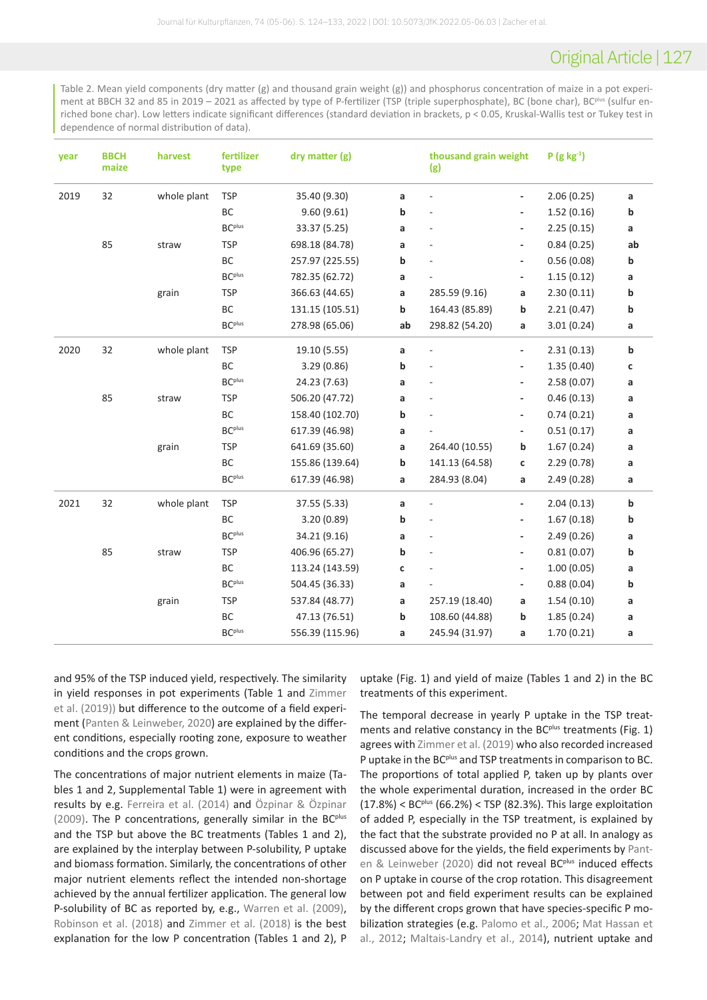# Original Article | 127

Table 2. Mean yield components (dry matter (g) and thousand grain weight (g)) and phosphorus concentration of maize in a pot experiment at BBCH 32 and 85 in 2019 – 2021 as affected by type of P-fertilizer (TSP (triple superphosphate), BC (bone char), BC<sup>plus</sup> (sulfur enriched bone char). Low letters indicate significant differences (standard deviation in brackets, p < 0.05, Kruskal-Wallis test or Tukey test in dependence of normal distribution of data).

| year | <b>BBCH</b><br>maize | harvest     | fertilizer<br>type | dry matter (g)  |    | thousand grain weight<br>(g) |                              | $P(g kg-1)$ |    |
|------|----------------------|-------------|--------------------|-----------------|----|------------------------------|------------------------------|-------------|----|
| 2019 | 32                   | whole plant | <b>TSP</b>         | 35.40 (9.30)    | a  | ÷,                           | $\overline{\phantom{0}}$     | 2.06(0.25)  | a  |
|      |                      |             | BC                 | 9.60(9.61)      | b  | ÷,                           | $\overline{\phantom{0}}$     | 1.52(0.16)  | b  |
|      |                      |             | <b>BC</b> plus     | 33.37 (5.25)    | a  | L,                           | $\overline{\phantom{a}}$     | 2.25(0.15)  | a  |
|      | 85                   | straw       | <b>TSP</b>         | 698.18 (84.78)  | a  | L,                           | $\overline{\phantom{a}}$     | 0.84(0.25)  | ab |
|      |                      |             | BC                 | 257.97 (225.55) | b  |                              | $\overline{\phantom{0}}$     | 0.56(0.08)  | b  |
|      |                      |             | <b>BC</b> plus     | 782.35 (62.72)  | a  |                              | $\overline{\phantom{0}}$     | 1.15(0.12)  | а  |
|      |                      | grain       | <b>TSP</b>         | 366.63 (44.65)  | a  | 285.59 (9.16)                | a                            | 2.30(0.11)  | b  |
|      |                      |             | BC                 | 131.15 (105.51) | b  | 164.43 (85.89)               | b                            | 2.21(0.47)  | b  |
|      |                      |             | BC <sup>plus</sup> | 278.98 (65.06)  | ab | 298.82 (54.20)               | a                            | 3.01(0.24)  | a  |
| 2020 | 32                   | whole plant | <b>TSP</b>         | 19.10 (5.55)    | a  | $\frac{1}{2}$                | $\overline{\phantom{0}}$     | 2.31(0.13)  | b  |
|      |                      |             | BC                 | 3.29(0.86)      | b  | L,                           | $\qquad \qquad \blacksquare$ | 1.35(0.40)  | C  |
|      |                      |             | <b>BC</b> plus     | 24.23 (7.63)    | a  | ÷,                           | $\overline{\phantom{0}}$     | 2.58(0.07)  | a  |
|      | 85                   | straw       | <b>TSP</b>         | 506.20 (47.72)  | a  | ä,                           | $\overline{\phantom{0}}$     | 0.46(0.13)  | a  |
|      |                      |             | <b>BC</b>          | 158.40 (102.70) | b  |                              | $\overline{\phantom{0}}$     | 0.74(0.21)  | a  |
|      |                      |             | <b>BC</b> plus     | 617.39 (46.98)  | a  |                              | $\overline{\phantom{0}}$     | 0.51(0.17)  | a  |
|      |                      | grain       | <b>TSP</b>         | 641.69 (35.60)  | a  | 264.40 (10.55)               | b                            | 1.67(0.24)  | a  |
|      |                      |             | ВC                 | 155.86 (139.64) | b  | 141.13 (64.58)               | c                            | 2.29(0.78)  | a  |
|      |                      |             | <b>BC</b> plus     | 617.39 (46.98)  | a  | 284.93 (8.04)                | a                            | 2.49(0.28)  | a  |
| 2021 | 32                   | whole plant | <b>TSP</b>         | 37.55 (5.33)    | a  | $\frac{1}{2}$                | $\frac{1}{2}$                | 2.04(0.13)  | b  |
|      |                      |             | BC                 | 3.20(0.89)      | b  | L,                           | $\overline{\phantom{0}}$     | 1.67(0.18)  | b  |
|      |                      |             | <b>BC</b> plus     | 34.21 (9.16)    | a  | L,                           | $\overline{\phantom{a}}$     | 2.49(0.26)  | a  |
|      | 85                   | straw       | <b>TSP</b>         | 406.96 (65.27)  | b  | L,                           | $\qquad \qquad \blacksquare$ | 0.81(0.07)  | b  |
|      |                      |             | <b>BC</b>          | 113.24 (143.59) | C  | ÷,                           | -                            | 1.00(0.05)  | a  |
|      |                      |             | BC <sup>plus</sup> | 504.45 (36.33)  | a  |                              | ۰.                           | 0.88(0.04)  | b  |
|      |                      | grain       | <b>TSP</b>         | 537.84 (48.77)  | a  | 257.19 (18.40)               | a                            | 1.54(0.10)  | a  |
|      |                      |             | ВC                 | 47.13 (76.51)   | b  | 108.60 (44.88)               | b                            | 1.85(0.24)  | a  |
|      |                      |             | <b>BC</b> plus     | 556.39 (115.96) | a  | 245.94 (31.97)               | a                            | 1.70(0.21)  | a  |

and 95% of the TSP induced yield, respectively. The similarity in yield responses in pot experiments (Table 1 and [Zimmer](#page-6-6)  [et al. \(2019\)\)](#page-6-6) but difference to the outcome of a field experiment [\(Panten & Leinweber, 2020](#page-5-11)) are explained by the different conditions, especially rooting zone, exposure to weather conditions and the crops grown.

The concentrations of major nutrient elements in maize (Tables 1 and 2, Supplemental Table 1) were in agreement with results by e.g. [Ferreira et al. \(2014\)](#page-5-14) and [Özpinar & Özpinar](#page-5-15)   $(2009)$ . The P concentrations, generally similar in the BC<sup>plus</sup> and the TSP but above the BC treatments (Tables 1 and 2), are explained by the interplay between P-solubility, P uptake and biomass formation. Similarly, the concentrations of other major nutrient elements reflect the intended non-shortage achieved by the annual fertilizer application. The general low P-solubility of BC as reported by, e.g., [Warren et al. \(2009\)](#page-6-2), [Robinson et al. \(2018\)](#page-5-16) and [Zimmer et al. \(2018\)](#page-6-1) is the best explanation for the low P concentration (Tables 1 and 2), P

uptake (Fig. 1) and yield of maize (Tables 1 and 2) in the BC treatments of this experiment.

The temporal decrease in yearly P uptake in the TSP treatments and relative constancy in the BC<sup>plus</sup> treatments (Fig. 1) agrees with [Zimmer et al. \(2019\)](#page-6-6) who also recorded increased P uptake in the BC<sup>plus</sup> and TSP treatments in comparison to BC. The proportions of total applied P, taken up by plants over the whole experimental duration, increased in the order BC  $(17.8%) < BC<sup>plus</sup> (66.2%) < TSP (82.3%).$  This large exploitation of added P, especially in the TSP treatment, is explained by the fact that the substrate provided no P at all. In analogy as discussed above for the yields, the field experiments by [Pant](#page-5-11)[en & Leinweber \(2020\)](#page-5-11) did not reveal BC<sup>plus</sup> induced effects on P uptake in course of the crop rotation. This disagreement between pot and field experiment results can be explained by the different crops grown that have species-specific P mobilization strategies (e.g. [Palomo et al., 2006](#page-5-17); [Mat Hassan et](#page-5-18)  [al., 2012](#page-5-18); [Maltais-Landry et al., 2014](#page-5-19)), nutrient uptake and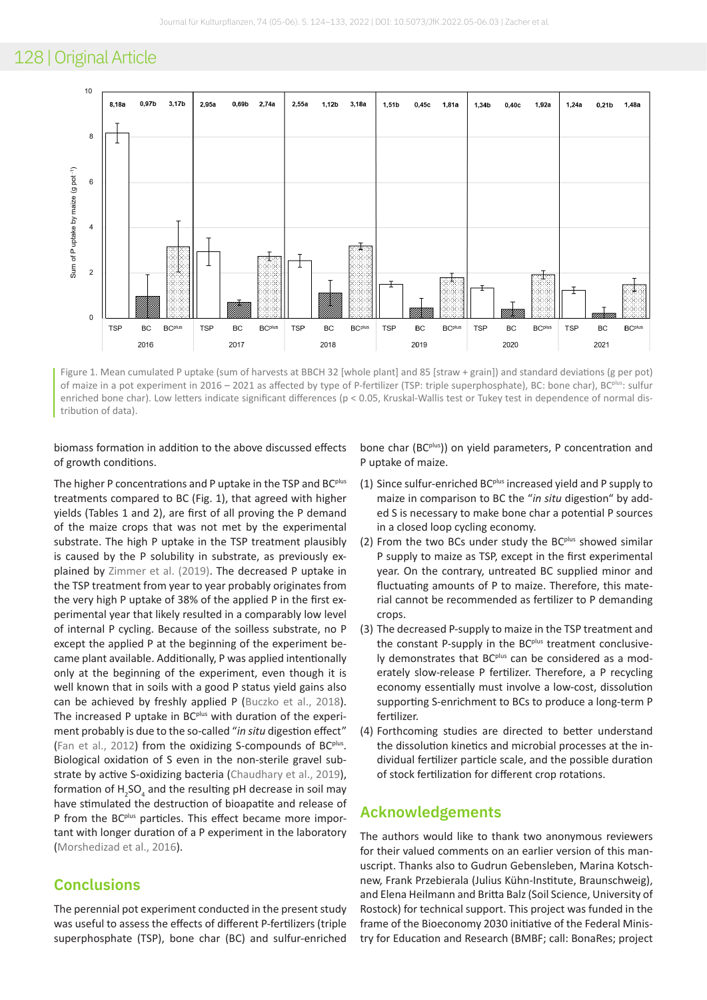

Figure 1. Mean cumulated P uptake (sum of harvests at BBCH 32 [whole plant] and 85 [straw + grain]) and standard deviations (g per pot) of maize in a pot experiment in 2016 – 2021 as affected by type of P-fertilizer (TSP: triple superphosphate), BC: bone char), BC<sup>plus</sup>: sulfur enriched bone char). Low letters indicate significant differences (p < 0.05, Kruskal-Wallis test or Tukey test in dependence of normal distribution of data).

biomass formation in addition to the above discussed effects of growth conditions.

The higher P concentrations and P uptake in the TSP and BC<sup>plus</sup> treatments compared to BC (Fig. 1), that agreed with higher yields (Tables 1 and 2), are first of all proving the P demand of the maize crops that was not met by the experimental substrate. The high P uptake in the TSP treatment plausibly is caused by the P solubility in substrate, as previously explained by [Zimmer et al. \(2019\).](#page-6-6) The decreased P uptake in the TSP treatment from year to year probably originates from the very high P uptake of 38% of the applied P in the first experimental year that likely resulted in a comparably low level of internal P cycling. Because of the soilless substrate, no P except the applied P at the beginning of the experiment became plant available. Additionally, P was applied intentionally only at the beginning of the experiment, even though it is well known that in soils with a good P status yield gains also can be achieved by freshly applied P ([Buczko et al., 2018](#page-5-20)). The increased P uptake in BC<sup>plus</sup> with duration of the experiment probably is due to the so-called "*in situ* digestion effect" [\(Fan et al., 2012](#page-5-21)) from the oxidizing S-compounds of BC<sup>plus</sup>. Biological oxidation of S even in the non-sterile gravel sub-strate by active S-oxidizing bacteria [\(Chaudhary et al., 2019](#page-5-22)), formation of  $H_2SO_4$  and the resulting pH decrease in soil may have stimulated the destruction of bioapatite and release of P from the BC<sup>plus</sup> particles. This effect became more important with longer duration of a P experiment in the laboratory [\(Morshedizad et al., 2016](#page-5-10)).

## **Conclusions**

The perennial pot experiment conducted in the present study was useful to assess the effects of different P-fertilizers (triple superphosphate (TSP), bone char (BC) and sulfur-enriched

bone char (BC<sup>plus</sup>)) on yield parameters, P concentration and P uptake of maize.

- (1) Since sulfur-enriched BC<sup>plus</sup> increased yield and P supply to maize in comparison to BC the "*in situ* digestion" by added S is necessary to make bone char a potential P sources in a closed loop cycling economy.
- (2) From the two BCs under study the BC $p^{flux}$  showed similar P supply to maize as TSP, except in the first experimental year. On the contrary, untreated BC supplied minor and fluctuating amounts of P to maize. Therefore, this material cannot be recommended as fertilizer to P demanding crops.
- (3) The decreased P-supply to maize in the TSP treatment and the constant P-supply in the BC<sup>plus</sup> treatment conclusively demonstrates that BC<sup>plus</sup> can be considered as a moderately slow-release P fertilizer. Therefore, a P recycling economy essentially must involve a low-cost, dissolution supporting S-enrichment to BCs to produce a long-term P fertilizer.
- (4) Forthcoming studies are directed to better understand the dissolution kinetics and microbial processes at the individual fertilizer particle scale, and the possible duration of stock fertilization for different crop rotations.

### **Acknowledgements**

The authors would like to thank two anonymous reviewers for their valued comments on an earlier version of this manuscript. Thanks also to Gudrun Gebensleben, Marina Kotschnew, Frank Przebierala (Julius Kühn-Institute, Braunschweig), and Elena Heilmann and Britta Balz (Soil Science, University of Rostock) for technical support. This project was funded in the frame of the Bioeconomy 2030 initiative of the Federal Ministry for Education and Research (BMBF; call: BonaRes; project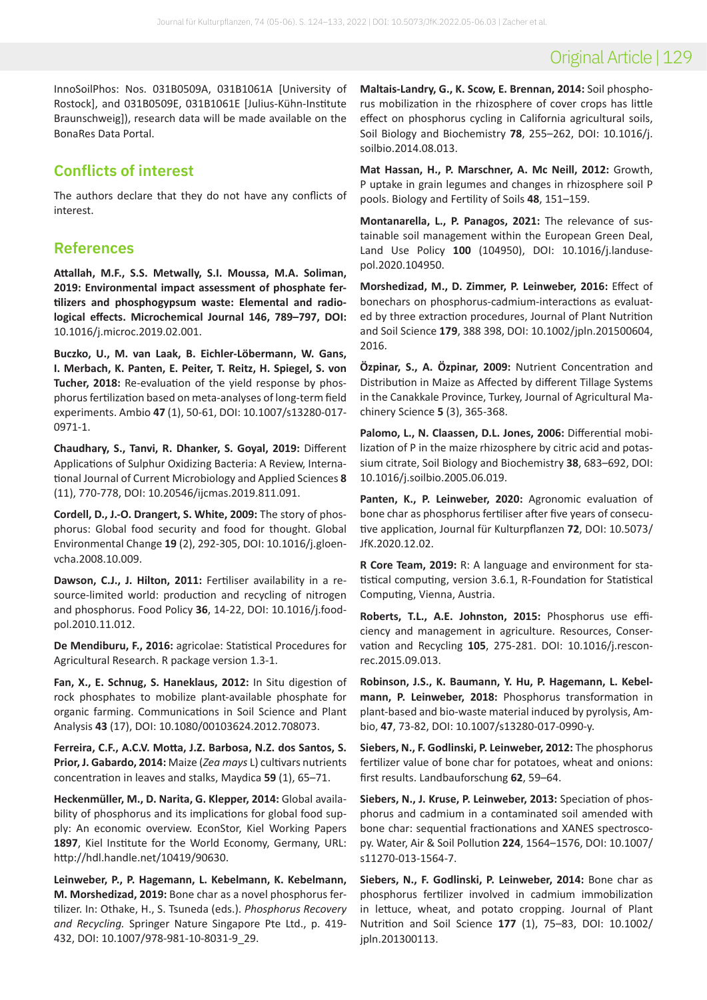# Original Article | 129

InnoSoilPhos: Nos. 031B0509A, 031B1061A [University of Rostock], and 031B0509E, 031B1061E [Julius-Kühn-Institute Braunschweig]), research data will be made available on the BonaRes Data Portal.

# **Conflicts of interest**

The authors declare that they do not have any conflicts of interest.

## **References**

<span id="page-5-3"></span>**Attallah, M.F., S.S. Metwally, S.I. Moussa, M.A. Soliman, 2019: Environmental impact assessment of phosphate fertilizers and phosphogypsum waste: Elemental and radiological effects. Microchemical Journal 146, 789–797, DOI:**  [10.1016/j.microc.2019.02.001.](https://www.doi.org/10.1016/j.microc.2019.02.001)

<span id="page-5-20"></span>**Buczko, U., M. van Laak, B. Eichler-Löbermann, W. Gans, I. Merbach, K. Panten, E. Peiter, T. Reitz, H. Spiegel, S. von Tucher, 2018:** Re-evaluation of the yield response by phosphorus fertilization based on meta-analyses of long-term field experiments. Ambio **47** (1), 50-61, DOI: [10.1007/s13280-017-](https://www.doi.org/10.1007/s13280-017-0971-1) [0971-1.](https://www.doi.org/10.1007/s13280-017-0971-1)

<span id="page-5-22"></span>**Chaudhary, S., Tanvi, R. Dhanker, S. Goyal, 2019:** Different Applications of Sulphur Oxidizing Bacteria: A Review, International Journal of Current Microbiology and Applied Sciences **8** (11), 770-778, DOI: [10.20546/ijcmas.2019.811.091](https://www.doi.org/10.20546/ijcmas.2019.811.091).

<span id="page-5-0"></span>**Cordell, D., J.-O. Drangert, S. White, 2009:** The story of phosphorus: Global food security and food for thought. Global Environmental Change **19** (2), 292-305, DOI: [10.1016/j.gloen](https://www.doi.org/10.1016/j.gloenvcha.2008.10.009)[vcha.2008.10.009](https://www.doi.org/10.1016/j.gloenvcha.2008.10.009).

<span id="page-5-1"></span>**Dawson, C.J., J. Hilton, 2011:** Fertiliser availability in a resource-limited world: production and recycling of nitrogen and phosphorus. Food Policy **36**, 14-22, DOI: [10.1016/j.food](https://www.doi.org/10.1016/j.foodpol.2010.11.012)[pol.2010.11.012](https://www.doi.org/10.1016/j.foodpol.2010.11.012).

<span id="page-5-13"></span>**De Mendiburu, F., 2016:** agricolae: Statistical Procedures for Agricultural Research. R package version 1.3-1.

<span id="page-5-21"></span>**Fan, X., E. Schnug, S. Haneklaus, 2012:** In Situ digestion of rock phosphates to mobilize plant-available phosphate for organic farming. Communications in Soil Science and Plant Analysis **43** (17), DOI: [10.1080/00103624.2012.708073.](https://www.doi.org/10.1080/00103624.2012.708073)

<span id="page-5-14"></span>**Ferreira, C.F., A.C.V. Motta, J.Z. Barbosa, N.Z. dos Santos, S. Prior, J. Gabardo, 2014:** Maize (*Zea mays* L) cultivars nutrients concentration in leaves and stalks, Maydica **59** (1), 65–71.

<span id="page-5-2"></span>**Heckenmüller, M., D. Narita, G. Klepper, 2014:** Global availability of phosphorus and its implications for global food supply: An economic overview. EconStor, Kiel Working Papers **1897**, Kiel Institute for the World Economy, Germany, URL: <http://hdl.handle.net/10419/90630>.

<span id="page-5-6"></span>**Leinweber, P., P. Hagemann, L. Kebelmann, K. Kebelmann, M. Morshedizad, 2019:** Bone char as a novel phosphorus fertilizer. In: Othake, H., S. Tsuneda (eds.). *Phosphorus Recovery and Recycling.* Springer Nature Singapore Pte Ltd., p. 419- 432, DOI: [10.1007/978-981-10-8031-9\\_29.](https://www.doi.org/10.1007/978-981-10-8031-9_29)

<span id="page-5-19"></span>**Maltais-Landry, G., K. Scow, E. Brennan, 2014:** Soil phosphorus mobilization in the rhizosphere of cover crops has little effect on phosphorus cycling in California agricultural soils, Soil Biology and Biochemistry **78**, 255–262, DOI: [10.1016/j.](https://www.doi.org/10.1016/j.soilbio.2014.08.013) [soilbio.2014.08.013](https://www.doi.org/10.1016/j.soilbio.2014.08.013).

<span id="page-5-18"></span>**Mat Hassan, H., P. Marschner, A. Mc Neill, 2012:** Growth, P uptake in grain legumes and changes in rhizosphere soil P pools. Biology and Fertility of Soils **48**, 151–159.

<span id="page-5-4"></span>**Montanarella, L., P. Panagos, 2021:** The relevance of sustainable soil management within the European Green Deal, Land Use Policy **100** (104950), DOI: [10.1016/j.landuse](https://www.doi.org/10.1016/j.landusepol.2020.104950)[pol.2020.104950.](https://www.doi.org/10.1016/j.landusepol.2020.104950)

<span id="page-5-10"></span>**Morshedizad, M., D. Zimmer, P. Leinweber, 2016:** Effect of bonechars on phosphorus-cadmium-interactions as evaluated by three extraction procedures, Journal of Plant Nutrition and Soil Science **179**, 388 398, DOI: [10.1002/jpln.201500604,](https://www.doi.org/10.1002/jpln.201500604,)  2016.

<span id="page-5-15"></span>**Özpinar, S., A. Özpinar, 2009:** Nutrient Concentration and Distribution in Maize as Affected by different Tillage Systems in the Canakkale Province, Turkey, Journal of Agricultural Machinery Science **5** (3), 365-368.

<span id="page-5-17"></span>**Palomo, L., N. Claassen, D.L. Jones, 2006:** Differential mobilization of P in the maize rhizosphere by citric acid and potassium citrate, Soil Biology and Biochemistry **38**, 683–692, DOI: [10.1016/j.soilbio.2005.06.019.](https://www.doi.org/10.1016/j.soilbio.2005.06.019)

<span id="page-5-11"></span>**Panten, K., P. Leinweber, 2020:** Agronomic evaluation of bone char as phosphorus fertiliser after five years of consecutive application, Journal für Kulturpflanzen **72**, DOI: [10.5073/](https://www.doi.org/10.5073/JfK.2020.12.02) [JfK.2020.12.02.](https://www.doi.org/10.5073/JfK.2020.12.02)

<span id="page-5-12"></span>**R Core Team, 2019:** R: A language and environment for statistical computing, version 3.6.1, R-Foundation for Statistical Computing, Vienna, Austria.

<span id="page-5-5"></span>**Roberts, T.L., A.E. Johnston, 2015:** Phosphorus use efficiency and management in agriculture. Resources, Conservation and Recycling **105**, 275-281. DOI: [10.1016/j.rescon](https://www.doi.org/10.1016/j.resconrec.2015.09.013)[rec.2015.09.013](https://www.doi.org/10.1016/j.resconrec.2015.09.013).

<span id="page-5-16"></span>**Robinson, J.S., K. Baumann, Y. Hu, P. Hagemann, L. Kebelmann, P. Leinweber, 2018:** Phosphorus transformation in plant-based and bio-waste material induced by pyrolysis, Ambio, **47**, 73-82, DOI: [10.1007/s13280-017-0990-y](https://www.doi.org/10.1007/s13280-017-0990-y).

<span id="page-5-8"></span>**Siebers, N., F. Godlinski, P. Leinweber, 2012:** The phosphorus fertilizer value of bone char for potatoes, wheat and onions: first results. Landbauforschung **62**, 59–64.

<span id="page-5-7"></span>**Siebers, N., J. Kruse, P. Leinweber, 2013:** Speciation of phosphorus and cadmium in a contaminated soil amended with bone char: sequential fractionations and XANES spectroscopy. Water, Air & Soil Pollution **224**, 1564–1576, DOI: [10.1007/](https://www.doi.org/10.1007/s11270-013-1564-7) [s11270-013-1564-7](https://www.doi.org/10.1007/s11270-013-1564-7).

<span id="page-5-9"></span>**Siebers, N., F. Godlinski, P. Leinweber, 2014:** Bone char as phosphorus fertilizer involved in cadmium immobilization in lettuce, wheat, and potato cropping. Journal of Plant Nutrition and Soil Science **177** (1), 75–83, DOI: [10.1002/](https://www.doi.org/10.1002/jpln.201300113) [jpln.201300113.](https://www.doi.org/10.1002/jpln.201300113)